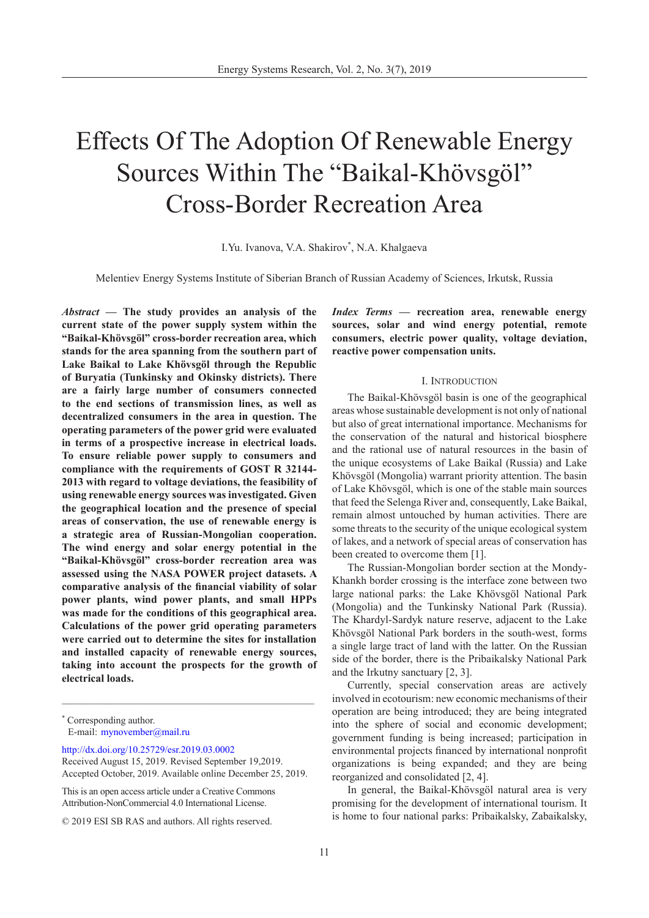# Effects Of The Adoption Of Renewable Energy Sources Within The "Baikal-Khövsgöl" Cross-Border Recreation Area

I.Yu. Ivanova, V.A. Shakirov\*, N.A. Khalgaeva

Melentiev Energy Systems Institute of Siberian Branch of Russian Academy of Sciences, Irkutsk, Russia

*Abstract* **— The study provides an analysis of the current state of the power supply system within the "Baikal-Khövsgöl" cross-border recreation area, which stands for the area spanning from the southern part of Lake Baikal to Lake Khövsgöl through the Republic of Buryatia (Tunkinsky and Okinsky districts). There are a fairly large number of consumers connected to the end sections of transmission lines, as well as decentralized consumers in the area in question. The operating parameters of the power grid were evaluated in terms of a prospective increase in electrical loads. To ensure reliable power supply to consumers and compliance with the requirements of GOST R 32144- 2013 with regard to voltage deviations, the feasibility of using renewable energy sources was investigated. Given the geographical location and the presence of special areas of conservation, the use of renewable energy is a strategic area of Russian-Mongolian cooperation. The wind energy and solar energy potential in the "Baikal-Khövsgöl" cross-border recreation area was assessed using the NASA POWER project datasets. A comparative analysis of the financial viability of solar power plants, wind power plants, and small HPPs was made for the conditions of this geographical area. Calculations of the power grid operating parameters were carried out to determine the sites for installation and installed capacity of renewable energy sources, taking into account the prospects for the growth of electrical loads.**

[http://dx.doi.org/10.25729/esr.2019.03.000](http://dx.doi.org/10.25729/esr.2019.03.0002)2

\_\_\_\_\_\_\_\_\_\_\_\_\_\_\_\_\_\_\_\_\_\_\_\_\_\_\_\_\_\_\_\_\_\_\_\_\_\_\_\_\_\_\_\_\_\_\_\_\_\_\_

This is an open access article under a Creative Commons Attribution-NonCommercial 4.0 International License.

*Index Terms* **— recreation area, renewable energy sources, solar and wind energy potential, remote consumers, electric power quality, voltage deviation, reactive power compensation units.**

## I. Introduction

The Baikal-Khövsgöl basin is one of the geographical areas whose sustainable development is not only of national but also of great international importance. Mechanisms for the conservation of the natural and historical biosphere and the rational use of natural resources in the basin of the unique ecosystems of Lake Baikal (Russia) and Lake Khövsgöl (Mongolia) warrant priority attention. The basin of Lake Khövsgöl, which is one of the stable main sources that feed the Selenga River and, consequently, Lake Baikal, remain almost untouched by human activities. There are some threats to the security of the unique ecological system of lakes, and a network of special areas of conservation has been created to overcome them [1].

The Russian-Mongolian border section at the Mondy-Khankh border crossing is the interface zone between two large national parks: the Lake Khövsgöl National Park (Mongolia) and the Tunkinsky National Park (Russia). The Khardyl-Sardyk nature reserve, adjacent to the Lake Khövsgöl National Park borders in the south-west, forms a single large tract of land with the latter. On the Russian side of the border, there is the Pribaikalsky National Park and the Irkutny sanctuary [2, 3].

Currently, special conservation areas are actively involved in ecotourism: new economic mechanisms of their operation are being introduced; they are being integrated into the sphere of social and economic development; government funding is being increased; participation in environmental projects financed by international nonprofit organizations is being expanded; and they are being reorganized and consolidated [2, 4].

In general, the Baikal-Khövsgöl natural area is very promising for the development of international tourism. It is home to four national parks: Pribaikalsky, Zabaikalsky,

<sup>\*</sup> Corresponding author. E-mail: [mynovember@mail.ru](mailto:mynovember%40mail.ru?subject=)

Received August 15, 2019. Revised September 19,2019. Accepted October, 2019. Available online December 25, 2019.

<sup>© 2019</sup> ESI SB RAS and authors. All rights reserved.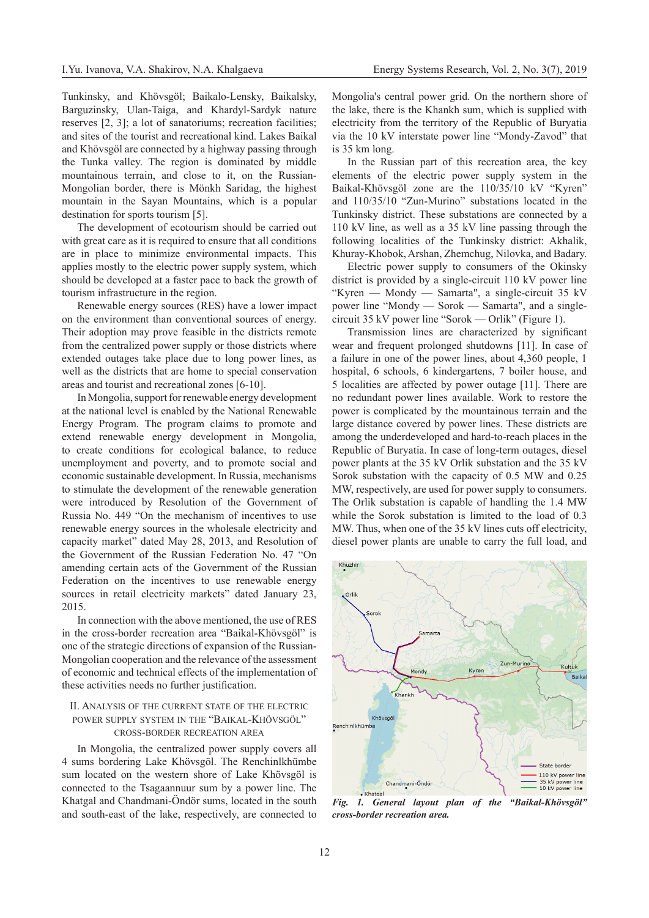Tunkinsky, and Khövsgöl; Baikalo-Lensky, Baikalsky, Barguzinsky, Ulan-Taiga, and Khardyl-Sardyk nature reserves [2, 3]; a lot of sanatoriums; recreation facilities; and sites of the tourist and recreational kind. Lakes Baikal and Khövsgöl are connected by a highway passing through the Tunka valley. The region is dominated by middle mountainous terrain, and close to it, on the Russian-Mongolian border, there is Mönkh Saridag, the highest mountain in the Sayan Mountains, which is a popular destination for sports tourism [5].

The development of ecotourism should be carried out with great care as it is required to ensure that all conditions are in place to minimize environmental impacts. This applies mostly to the electric power supply system, which should be developed at a faster pace to back the growth of tourism infrastructure in the region.

Renewable energy sources (RES) have a lower impact on the environment than conventional sources of energy. Their adoption may prove feasible in the districts remote from the centralized power supply or those districts where extended outages take place due to long power lines, as well as the districts that are home to special conservation areas and tourist and recreational zones [6-10].

In Mongolia, support for renewable energy development at the national level is enabled by the National Renewable Energy Program. The program claims to promote and extend renewable energy development in Mongolia, to create conditions for ecological balance, to reduce unemployment and poverty, and to promote social and economic sustainable development. In Russia, mechanisms to stimulate the development of the renewable generation were introduced by Resolution of the Government of Russia No. 449 "On the mechanism of incentives to use renewable energy sources in the wholesale electricity and capacity market" dated May 28, 2013, and Resolution of the Government of the Russian Federation No. 47 "On amending certain acts of the Government of the Russian Federation on the incentives to use renewable energy sources in retail electricity markets" dated January 23, 2015.

In connection with the above mentioned, the use of RES in the cross-border recreation area "Baikal-Khövsgöl" is one of the strategic directions of expansion of the Russian-Mongolian cooperation and the relevance of the assessment of economic and technical effects of the implementation of these activities needs no further justification.

## II. Analysis of the current state of the electric power supply system in the "Baikal-Khövsgöl" cross-border recreation area

In Mongolia, the centralized power supply covers all 4 sums bordering Lake Khövsgöl. The Renchinlkhümbe sum located on the western shore of Lake Khövsgöl is connected to the Tsagaannuur sum by a power line. The Khatgal and Chandmani-Öndör sums, located in the south and south-east of the lake, respectively, are connected to

Mongolia's central power grid. On the northern shore of the lake, there is the Khankh sum, which is supplied with electricity from the territory of the Republic of Buryatia via the 10 kV interstate power line "Mondy-Zavod" that is 35 km long.

In the Russian part of this recreation area, the key elements of the electric power supply system in the Baikal-Khövsgöl zone are the 110/35/10 kV "Kyren" and 110/35/10 "Zun-Murino" substations located in the Tunkinsky district. These substations are connected by a 110 kV line, as well as a 35 kV line passing through the following localities of the Tunkinsky district: Akhalik, Khuray-Khobok, Arshan, Zhemchug, Nilovka, and Badary.

Electric power supply to consumers of the Okinsky district is provided by a single-circuit 110 kV power line "Kyren — Mondy — Samarta", a single-circuit 35 kV power line "Mondy — Sorok — Samarta", and a singlecircuit 35 kV power line "Sorok — Orlik" (Figure 1).

Transmission lines are characterized by significant wear and frequent prolonged shutdowns [11]. In case of a failure in one of the power lines, about 4,360 people, 1 hospital, 6 schools, 6 kindergartens, 7 boiler house, and 5 localities are affected by power outage [11]. There are no redundant power lines available. Work to restore the power is complicated by the mountainous terrain and the large distance covered by power lines. These districts are among the underdeveloped and hard-to-reach places in the Republic of Buryatia. In case of long-term outages, diesel power plants at the 35 kV Orlik substation and the 35 kV Sorok substation with the capacity of 0.5 MW and 0.25 MW, respectively, are used for power supply to consumers. The Orlik substation is capable of handling the 1.4 MW while the Sorok substation is limited to the load of 0.3 MW. Thus, when one of the 35 kV lines cuts off electricity, diesel power plants are unable to carry the full load, and



*Fig. 1. General layout plan of the "Baikal-Khövsgöl" cross-border recreation area.*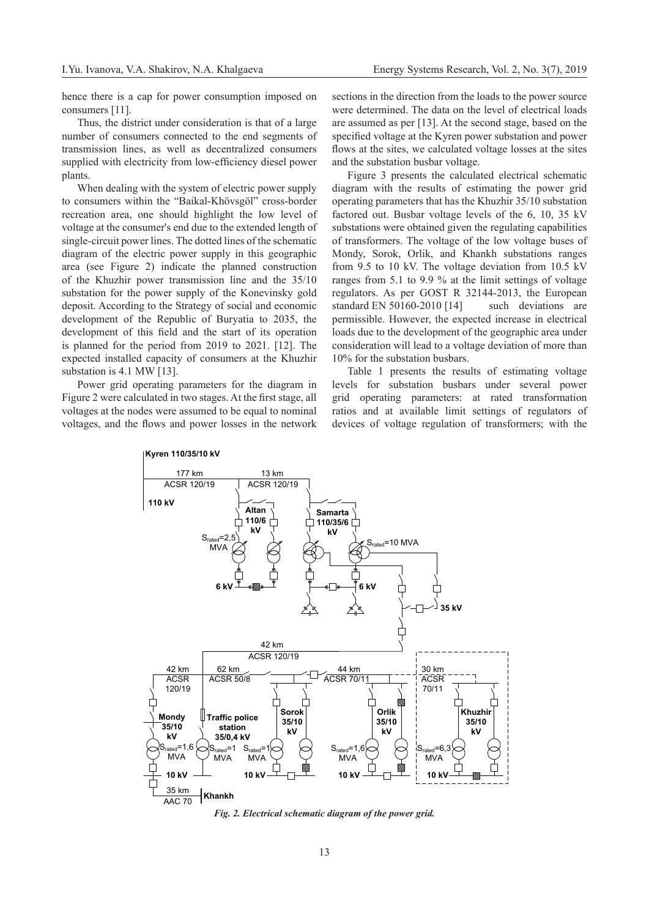hence there is a cap for power consumption imposed on consumers [11].

Thus, the district under consideration is that of a large number of consumers connected to the end segments of transmission lines, as well as decentralized consumers supplied with electricity from low-efficiency diesel power plants.

When dealing with the system of electric power supply to consumers within the "Baikal-Khövsgöl" cross-border recreation area, one should highlight the low level of voltage at the consumer's end due to the extended length of single-circuit power lines. The dotted lines of the schematic diagram of the electric power supply in this geographic area (see Figure 2) indicate the planned construction of the Khuzhir power transmission line and the 35/10 substation for the power supply of the Konevinsky gold deposit. According to the Strategy of social and economic development of the Republic of Buryatia to 2035, the development of this field and the start of its operation is planned for the period from 2019 to 2021. [12]. The expected installed capacity of consumers at the Khuzhir substation is 4.1 MW [13].

Power grid operating parameters for the diagram in Figure 2 were calculated in two stages. At the first stage, all voltages at the nodes were assumed to be equal to nominal voltages, and the flows and power losses in the network

sections in the direction from the loads to the power source were determined. The data on the level of electrical loads are assumed as per [13]. At the second stage, based on the specified voltage at the Kyren power substation and power flows at the sites, we calculated voltage losses at the sites and the substation busbar voltage.

Figure 3 presents the calculated electrical schematic diagram with the results of estimating the power grid operating parameters that has the Khuzhir 35/10 substation factored out. Busbar voltage levels of the 6, 10, 35 kV substations were obtained given the regulating capabilities of transformers. The voltage of the low voltage buses of Mondy, Sorok, Orlik, and Khankh substations ranges from 9.5 to 10 kV. The voltage deviation from 10.5 kV ranges from 5.1 to 9.9 % at the limit settings of voltage regulators. As per GOST R 32144-2013, the European standard EN 50160-2010 [14] such deviations are permissible. However, the expected increase in electrical loads due to the development of the geographic area under consideration will lead to a voltage deviation of more than 10% for the substation busbars.

Table 1 presents the results of estimating voltage levels for substation busbars under several power grid operating parameters: at rated transformation ratios and at available limit settings of regulators of devices of voltage regulation of transformers; with the



*Fig. 2. Electrical schematic diagram of the power grid.*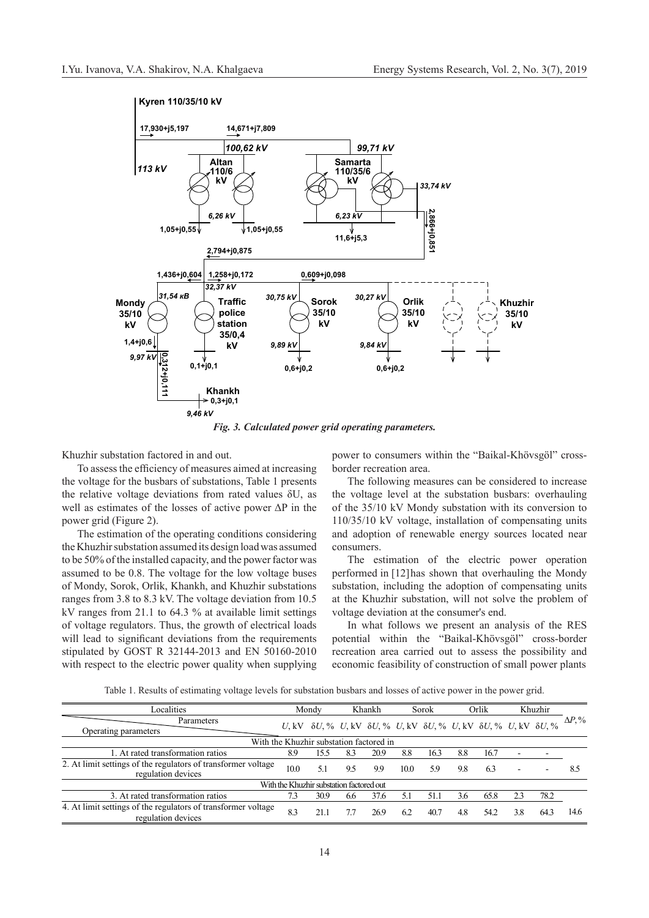

*Fig. 3. Calculated power grid operating parameters.*

Khuzhir substation factored in and out.

To assess the efficiency of measures aimed at increasing the voltage for the busbars of substations, Table 1 presents the relative voltage deviations from rated values δU, as well as estimates of the losses of active power ΔP in the power grid (Figure 2).

The estimation of the operating conditions considering the Khuzhir substation assumed its design load was assumed to be 50% of the installed capacity, and the power factor was assumed to be 0.8. The voltage for the low voltage buses of Mondy, Sorok, Orlik, Khankh, and Khuzhir substations ranges from 3.8 to 8.3 kV. The voltage deviation from 10.5 kV ranges from 21.1 to 64.3 % at available limit settings of voltage regulators. Thus, the growth of electrical loads will lead to significant deviations from the requirements stipulated by GOST R 32144-2013 and EN 50160-2010 with respect to the electric power quality when supplying power to consumers within the "Baikal-Khövsgöl" crossborder recreation area.

The following measures can be considered to increase the voltage level at the substation busbars: overhauling of the 35/10 kV Mondy substation with its conversion to 110/35/10 kV voltage, installation of compensating units and adoption of renewable energy sources located near consumers.

The estimation of the electric power operation performed in [12]has shown that overhauling the Mondy substation, including the adoption of compensating units at the Khuzhir substation, will not solve the problem of voltage deviation at the consumer's end.

In what follows we present an analysis of the RES potential within the "Baikal-Khövsgöl" cross-border recreation area carried out to assess the possibility and economic feasibility of construction of small power plants

Table 1. Results of estimating voltage levels for substation busbars and losses of active power in the power grid.

| Localities                                                                          |      | Mondy                                                                                                         |     | Khankh |      | Sorok |     | Orlik |     | Khuzhir |                |
|-------------------------------------------------------------------------------------|------|---------------------------------------------------------------------------------------------------------------|-----|--------|------|-------|-----|-------|-----|---------|----------------|
| Parameters<br>Operating parameters                                                  |      | $U,$ kV $\delta U,$ % $U,$ kV $\delta U,$ % $U,$ kV $\delta U,$ % $U,$ kV $\delta U,$ % $U,$ kV $\delta U,$ % |     |        |      |       |     |       |     |         | $\Delta P. \%$ |
|                                                                                     |      | With the Khuzhir substation factored in                                                                       |     |        |      |       |     |       |     |         |                |
| 1. At rated transformation ratios                                                   | 8.9  | .5.5                                                                                                          | 83  | 20.9   | 8.8  | 16.3  | 8.8 | 16.7  |     |         |                |
| 2. At limit settings of the regulators of transformer voltage<br>regulation devices | 10.0 | 5.1                                                                                                           | 9.5 | 9.9    | 10.0 | 59    | 9.8 | 63    |     |         | 8.5            |
|                                                                                     |      | With the Khuzhir substation factored out                                                                      |     |        |      |       |     |       |     |         |                |
| 3. At rated transformation ratios                                                   | 7.3  | 30.9                                                                                                          | 6.6 | 37.6   |      | 51.1  | 36  | 65.8  |     | 78.2    |                |
| 4. At limit settings of the regulators of transformer voltage<br>regulation devices | 8.3  | 21.1                                                                                                          |     | 26.9   | 6.2  | 40.7  | 4.8 | 542   | 3.8 | 64.3    | 14.6           |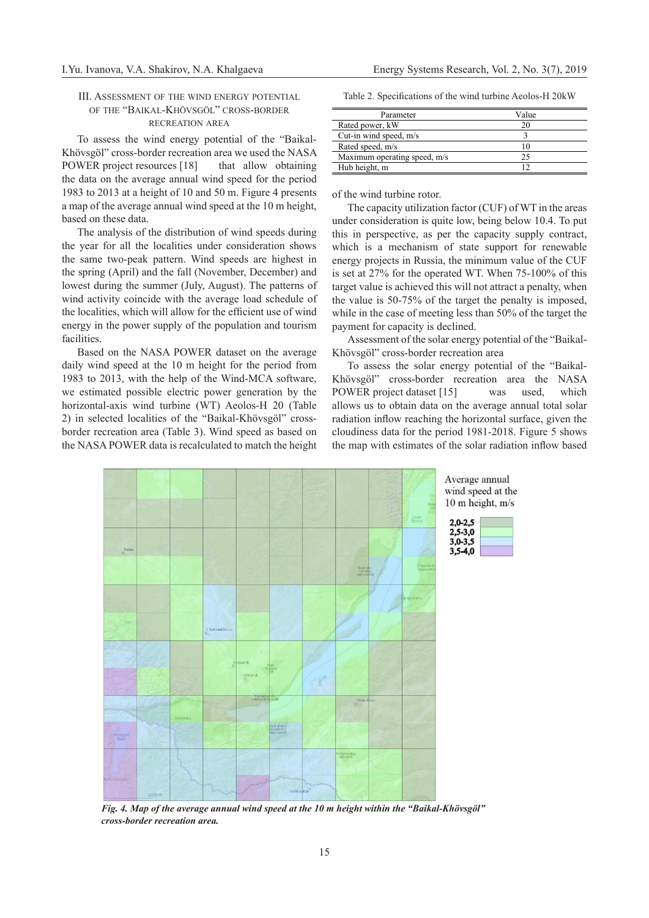## III. Assessment of the wind energy potential of the "Baikal-Khövsgöl" cross-border recreation area

To assess the wind energy potential of the "Baikal-Khövsgöl" cross-border recreation area we used the NASA POWER project resources [18] that allow obtaining the data on the average annual wind speed for the period 1983 to 2013 at a height of 10 and 50 m. Figure 4 presents a map of the average annual wind speed at the 10 m height, based on these data.

The analysis of the distribution of wind speeds during the year for all the localities under consideration shows the same two-peak pattern. Wind speeds are highest in the spring (April) and the fall (November, December) and lowest during the summer (July, August). The patterns of wind activity coincide with the average load schedule of the localities, which will allow for the efficient use of wind energy in the power supply of the population and tourism facilities.

Based on the NASA POWER dataset on the average daily wind speed at the 10 m height for the period from 1983 to 2013, with the help of the Wind-MCA software, we estimated possible electric power generation by the horizontal-axis wind turbine (WT) Aeolos-H 20 (Table 2) in selected localities of the "Baikal-Khövsgöl" crossborder recreation area (Table 3). Wind speed as based on the NASA POWER data is recalculated to match the height

Table 2. Specifications of the wind turbine Aeolos-H 20kW

| Parameter                    | Value |
|------------------------------|-------|
| Rated power, kW              | 20    |
| Cut-in wind speed, m/s       |       |
| Rated speed, m/s             | 10    |
| Maximum operating speed, m/s |       |
| Hub height, m                |       |

of the wind turbine rotor.

The capacity utilization factor (CUF) of WT in the areas under consideration is quite low, being below 10.4. To put this in perspective, as per the capacity supply contract, which is a mechanism of state support for renewable energy projects in Russia, the minimum value of the CUF is set at 27% for the operated WT. When 75-100% of this target value is achieved this will not attract a penalty, when the value is 50-75% of the target the penalty is imposed, while in the case of meeting less than 50% of the target the payment for capacity is declined.

Assessment of the solar energy potential of the "Baikal-Khövsgöl" cross-border recreation area

To assess the solar energy potential of the "Baikal-Khövsgöl" cross-border recreation area the NASA POWER project dataset [15] was used, which allows us to obtain data on the average annual total solar radiation inflow reaching the horizontal surface, given the cloudiness data for the period 1981-2018. Figure 5 shows the map with estimates of the solar radiation inflow based

> $2.0 - 2.5$  $2.5 - 3.0$  $3.5 - 4.0$



*Fig. 4. Map of the average annual wind speed at the 10 m height within the "Baikal-Khövsgöl" cross-border recreation area.*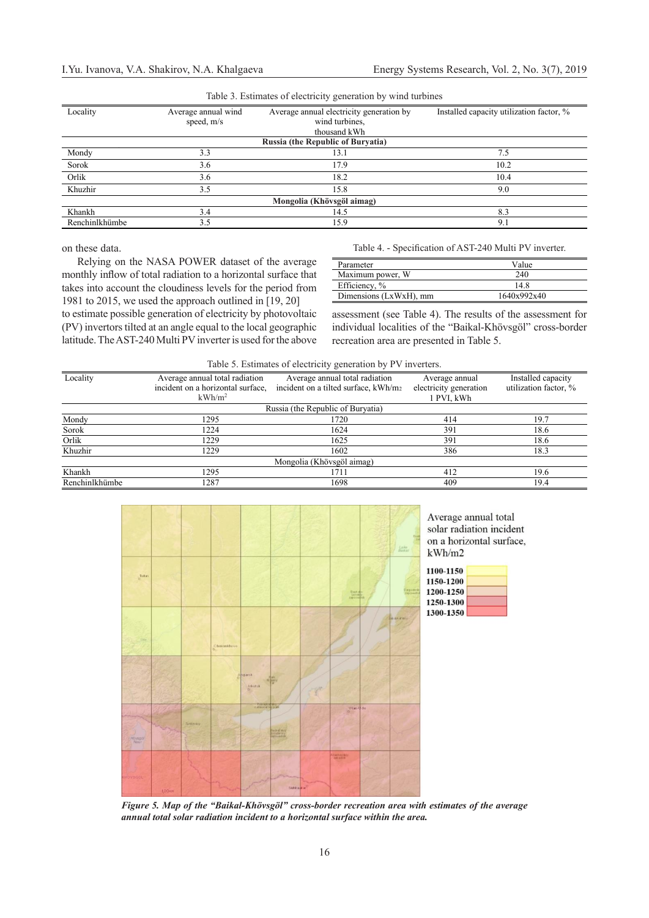Relying on the NASA POWER dataset of the average monthly inflow of total radiation to a horizontal surface that takes into account the cloudiness levels for the period from 1981 to 2015, we used the approach outlined in [19, 20] to estimate possible generation of electricity by photovoltaic (PV) invertors tilted at an angle equal to the local geographic latitude. The AST-240 Multi PV inverter is used for the above

| Table 5. Estimates of cicculicity generation by white turbines |                                   |                                          |                |  |  |  |  |  |  |
|----------------------------------------------------------------|-----------------------------------|------------------------------------------|----------------|--|--|--|--|--|--|
| Locality                                                       | Average annual wind<br>speed, m/s | Installed capacity utilization factor, % |                |  |  |  |  |  |  |
|                                                                |                                   | <b>Russia (the Republic of Buryatia)</b> |                |  |  |  |  |  |  |
| Mondy                                                          | 3.3                               | 13.1                                     | 7.5            |  |  |  |  |  |  |
| Sorok                                                          | 3.6                               | 17.9                                     | 10.2           |  |  |  |  |  |  |
| Orlik                                                          | 3.6                               | 18.2                                     | 10.4           |  |  |  |  |  |  |
| Khuzhir                                                        | 3.5                               | 15.8                                     | 9.0            |  |  |  |  |  |  |
| Mongolia (Khövsgöl aimag)                                      |                                   |                                          |                |  |  |  |  |  |  |
| Khankh                                                         | 3.4                               | 14.5                                     | 8.3            |  |  |  |  |  |  |
| Renchinlkhümbe                                                 | 3.5                               | 15.9                                     | Q <sub>1</sub> |  |  |  |  |  |  |

Table 3. Estimates of electricity generation by wind turbines

on these data.

Table 4. - Specification of AST-240 Multi PV inverter.

| Parameter              | Value       |
|------------------------|-------------|
| Maximum power, W       | 240         |
| Efficiency, %          | 14.8        |
| Dimensions (LxWxH), mm | 1640x992x40 |

assessment (see Table 4). The results of the assessment for individual localities of the "Baikal-Khövsgöl" cross-border recreation area are presented in Table 5.

|  |  | Table 5. Estimates of electricity generation by PV inverters. |  |
|--|--|---------------------------------------------------------------|--|
|  |  |                                                               |  |

| Locality       | Average annual total radiation<br>incident on a horizontal surface.<br>$kWh/m^2$ | Average annual total radiation<br>incident on a tilted surface, kWh/m2 | Average annual<br>electricity generation<br>1 PVI, kWh | Installed capacity<br>utilization factor, % |  |  |  |  |  |  |
|----------------|----------------------------------------------------------------------------------|------------------------------------------------------------------------|--------------------------------------------------------|---------------------------------------------|--|--|--|--|--|--|
|                |                                                                                  | Russia (the Republic of Buryatia)                                      |                                                        |                                             |  |  |  |  |  |  |
| Mondy          | 1295                                                                             | 1720                                                                   | 414                                                    | 19.7                                        |  |  |  |  |  |  |
| Sorok          | 1224                                                                             | 1624                                                                   | 391                                                    | 18.6                                        |  |  |  |  |  |  |
| Orlik          | 1229                                                                             | 1625                                                                   | 391                                                    | 18.6                                        |  |  |  |  |  |  |
| Khuzhir        | 1229                                                                             | 1602                                                                   | 386                                                    | 18.3                                        |  |  |  |  |  |  |
|                |                                                                                  | Mongolia (Khövsgöl aimag)                                              |                                                        |                                             |  |  |  |  |  |  |
| Khankh         | 1295                                                                             | 1711                                                                   | 412                                                    | 19.6                                        |  |  |  |  |  |  |
| Renchinlkhümbe | 1287                                                                             | 1698                                                                   | 409                                                    | 19.4                                        |  |  |  |  |  |  |



Average annual total solar radiation incident on a horizontal surface,  $kWh/m2$ 

| 1100-1150 |  |
|-----------|--|
| 1150-1200 |  |
| 1200-1250 |  |
| 1250-1300 |  |
| 1300-1350 |  |

*Figure 5. Map of the "Baikal-Khövsgöl" cross-border recreation area with estimates of the average annual total solar radiation incident to a horizontal surface within the area.*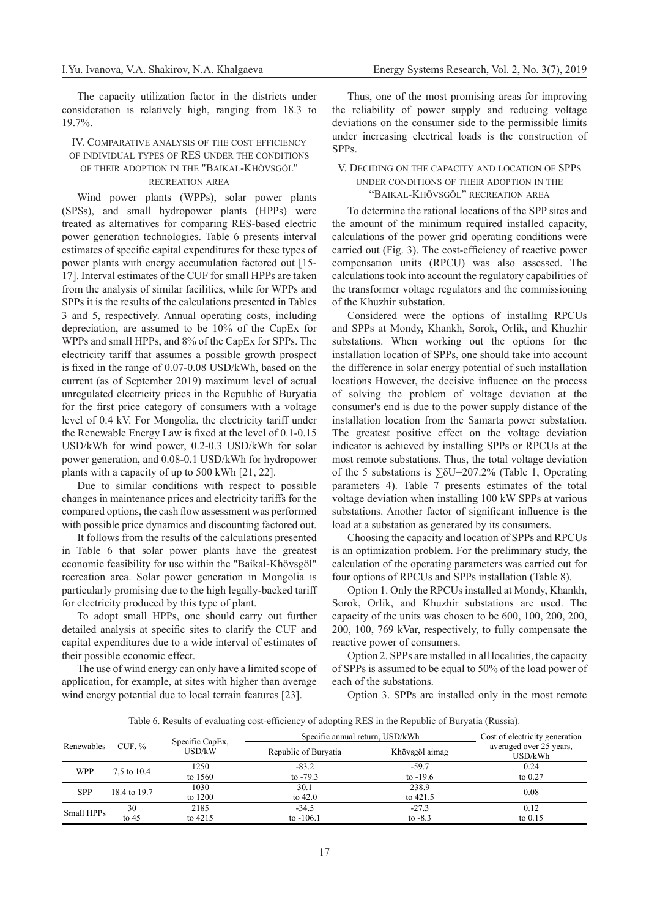The capacity utilization factor in the districts under consideration is relatively high, ranging from 18.3 to 19.7%.

# IV. Comparative analysis of the cost efficiency of individual types of RES under the conditions of their adoption in the "Baikal-Khövsgöl"

# recreation area

Wind power plants (WPPs), solar power plants (SPSs), and small hydropower plants (HPPs) were treated as alternatives for comparing RES-based electric power generation technologies. Table 6 presents interval estimates of specific capital expenditures for these types of power plants with energy accumulation factored out [15- 17]. Interval estimates of the CUF for small HPPs are taken from the analysis of similar facilities, while for WPPs and SPPs it is the results of the calculations presented in Tables 3 and 5, respectively. Annual operating costs, including depreciation, are assumed to be 10% of the CapEx for WPPs and small HPPs, and 8% of the CapEx for SPPs. The electricity tariff that assumes a possible growth prospect is fixed in the range of 0.07-0.08 USD/kWh, based on the current (as of September 2019) maximum level of actual unregulated electricity prices in the Republic of Buryatia for the first price category of consumers with a voltage level of 0.4 kV. For Mongolia, the electricity tariff under the Renewable Energy Law is fixed at the level of 0.1-0.15 USD/kWh for wind power, 0.2-0.3 USD/kWh for solar power generation, and 0.08-0.1 USD/kWh for hydropower plants with a capacity of up to 500 kWh [21, 22].

Due to similar conditions with respect to possible changes in maintenance prices and electricity tariffs for the compared options, the cash flow assessment was performed with possible price dynamics and discounting factored out.

It follows from the results of the calculations presented in Table 6 that solar power plants have the greatest economic feasibility for use within the "Baikal-Khövsgöl" recreation area. Solar power generation in Mongolia is particularly promising due to the high legally-backed tariff for electricity produced by this type of plant.

To adopt small HPPs, one should carry out further detailed analysis at specific sites to clarify the CUF and capital expenditures due to a wide interval of estimates of their possible economic effect.

The use of wind energy can only have a limited scope of application, for example, at sites with higher than average wind energy potential due to local terrain features [23].

Thus, one of the most promising areas for improving the reliability of power supply and reducing voltage deviations on the consumer side to the permissible limits under increasing electrical loads is the construction of SPPs.

## V. Deciding on the capacity and location of SPPs under conditions of their adoption in the "Baikal-Khövsgöl" recreation area

To determine the rational locations of the SPP sites and the amount of the minimum required installed capacity, calculations of the power grid operating conditions were carried out (Fig. 3). The cost-efficiency of reactive power compensation units (RPCU) was also assessed. The calculations took into account the regulatory capabilities of the transformer voltage regulators and the commissioning of the Khuzhir substation.

Considered were the options of installing RPCUs and SPPs at Mondy, Khankh, Sorok, Orlik, and Khuzhir substations. When working out the options for the installation location of SPPs, one should take into account the difference in solar energy potential of such installation locations However, the decisive influence on the process of solving the problem of voltage deviation at the consumer's end is due to the power supply distance of the installation location from the Samarta power substation. The greatest positive effect on the voltage deviation indicator is achieved by installing SPPs or RPCUs at the most remote substations. Thus, the total voltage deviation of the 5 substations is  $\Sigma$ δU=207.2% (Table 1, Operating parameters 4). Table 7 presents estimates of the total voltage deviation when installing 100 kW SPPs at various substations. Another factor of significant influence is the load at a substation as generated by its consumers.

Choosing the capacity and location of SPPs and RPCUs is an optimization problem. For the preliminary study, the calculation of the operating parameters was carried out for four options of RPCUs and SPPs installation (Table 8).

Option 1. Only the RPCUs installed at Mondy, Khankh, Sorok, Orlik, and Khuzhir substations are used. The capacity of the units was chosen to be 600, 100, 200, 200, 200, 100, 769 kVar, respectively, to fully compensate the reactive power of consumers.

Option 2. SPPs are installed in all localities, the capacity of SPPs is assumed to be equal to 50% of the load power of each of the substations.

Option 3. SPPs are installed only in the most remote

Table 6. Results of evaluating cost-efficiency of adopting RES in the Republic of Buryatia (Russia).

| Specific CapEx,<br>CUF. $%$<br>Renewables |         |            | Specific annual return, USD/kWh |                |                                    |  |  |
|-------------------------------------------|---------|------------|---------------------------------|----------------|------------------------------------|--|--|
|                                           |         | USD/kW     | Republic of Buryatia            | Khövsgöl aimag | averaged over 25 years,<br>USD/kWh |  |  |
|                                           |         | 1250       | $-83.2$                         | $-59.7$        | 0.24                               |  |  |
| <b>WPP</b><br>7,5 to 10.4                 | to 1560 | to $-79.3$ | to $-19.6$                      | to $0.27$      |                                    |  |  |
|                                           |         | 1030       | 30.1                            | 238.9          |                                    |  |  |
| <b>SPP</b><br>18.4 to 19.7                |         | to 1200    | to $42.0$                       | to $421.5$     | 0.08                               |  |  |
|                                           | 30      | 2185       | $-34.5$                         | $-27.3$        | 0.12                               |  |  |
| Small HPPs                                | to $45$ | to $4215$  | to $-106.1$                     | to $-8.3$      | to $0.15$                          |  |  |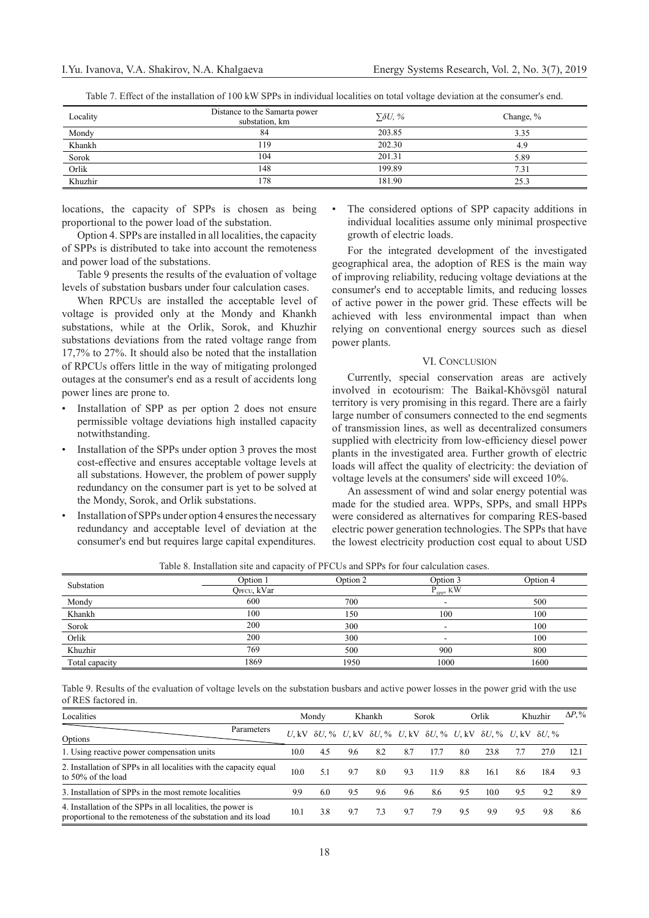|  |  |  |  | Table 7. Effect of the installation of 100 kW SPPs in individual localities on total voltage deviation at the consumer's end. |  |
|--|--|--|--|-------------------------------------------------------------------------------------------------------------------------------|--|
|  |  |  |  |                                                                                                                               |  |

| Locality | Distance to the Samarta power<br>substation, km | $\Sigma \delta U$ , % | Change, % |
|----------|-------------------------------------------------|-----------------------|-----------|
| Mondy    | 84                                              | 203.85                | 3.35      |
| Khankh   | 119                                             | 202.30                | 4.9       |
| Sorok    | 104                                             | 201.31                | 5.89      |
| Orlik    | 148                                             | 199.89                | 7.31      |
| Khuzhir  | 178                                             | 181.90                | 25.3      |

locations, the capacity of SPPs is chosen as being proportional to the power load of the substation.

Option 4. SPPs are installed in all localities, the capacity of SPPs is distributed to take into account the remoteness and power load of the substations.

Table 9 presents the results of the evaluation of voltage levels of substation busbars under four calculation cases.

When RPCUs are installed the acceptable level of voltage is provided only at the Mondy and Khankh substations, while at the Orlik, Sorok, and Khuzhir substations deviations from the rated voltage range from 17,7% to 27%. It should also be noted that the installation of RPCUs offers little in the way of mitigating prolonged outages at the consumer's end as a result of accidents long power lines are prone to.

- Installation of SPP as per option 2 does not ensure permissible voltage deviations high installed capacity notwithstanding.
- Installation of the SPPs under option 3 proves the most cost-effective and ensures acceptable voltage levels at all substations. However, the problem of power supply redundancy on the consumer part is yet to be solved at the Mondy, Sorok, and Orlik substations.
- Installation of SPPs under option 4 ensures the necessary redundancy and acceptable level of deviation at the consumer's end but requires large capital expenditures.

The considered options of SPP capacity additions in individual localities assume only minimal prospective growth of electric loads.

For the integrated development of the investigated geographical area, the adoption of RES is the main way of improving reliability, reducing voltage deviations at the consumer's end to acceptable limits, and reducing losses of active power in the power grid. These effects will be achieved with less environmental impact than when relying on conventional energy sources such as diesel power plants.

### VI. CONCLUSION

Currently, special conservation areas are actively involved in ecotourism: The Baikal-Khövsgöl natural territory is very promising in this regard. There are a fairly large number of consumers connected to the end segments of transmission lines, as well as decentralized consumers supplied with electricity from low-efficiency diesel power plants in the investigated area. Further growth of electric loads will affect the quality of electricity: the deviation of voltage levels at the consumers' side will exceed 10%.

An assessment of wind and solar energy potential was made for the studied area. WPPs, SPPs, and small HPPs were considered as alternatives for comparing RES-based electric power generation technologies. The SPPs that have the lowest electricity production cost equal to about USD

| Substation     | Option 1    | Option 2 | Option 3           | Option 4 |
|----------------|-------------|----------|--------------------|----------|
|                | QPFCU, kVar |          | $\rm P_{SPP},\,KW$ |          |
| Mondy          | 600         | 700      | -                  | 500      |
| Khankh         | 100         | 150      | 100                | 100      |
| Sorok          | 200         | 300      | -                  | 100      |
| Orlik          | 200         | 300      |                    | 100      |
| Khuzhir        | 769         | 500      | 900                | 800      |
| Total capacity | 1869        | 1950     | 1000               | 1600     |

Table 8. Installation site and capacity of PFCUs and SPPs for four calculation cases.

Table 9. Results of the evaluation of voltage levels on the substation busbars and active power losses in the power grid with the use of RES factored in.

| Localities                                                                                                                   |      | Mondy                                                                                                    |     | Khankh |     | Sorok |     | Orlik |     | Khuzhir |      |
|------------------------------------------------------------------------------------------------------------------------------|------|----------------------------------------------------------------------------------------------------------|-----|--------|-----|-------|-----|-------|-----|---------|------|
| Parameters<br>Options                                                                                                        |      | U, kV $\delta U$ , % U, kV $\delta U$ , % U, kV $\delta U$ , % U, kV $\delta U$ , % U, kV $\delta U$ , % |     |        |     |       |     |       |     |         |      |
| 1. Using reactive power compensation units                                                                                   | 10.0 | 4.5                                                                                                      | 9.6 | 8.2    | 8.7 | 17.7  | 8.0 | 23.8  |     | 27.0    | 12.1 |
| 2. Installation of SPPs in all localities with the capacity equal<br>to 50% of the load                                      | 10.0 | 51                                                                                                       | 9.7 | 8.0    | 93  | 11.9  | 8.8 | 16.1  | 8.6 | 18.4    | 93   |
| 3. Installation of SPPs in the most remote localities                                                                        | 99   | 60                                                                                                       | 9.5 | 9.6    | 9.6 | 86    | 9.5 | 10.0  | 9.5 | 9.2     | 89   |
| 4. Installation of the SPPs in all localities, the power is<br>proportional to the remoteness of the substation and its load | 10.1 | 3.8                                                                                                      | 9.7 | 73     | 9.7 | 79    | 9.5 | 99    | 9.5 | 9.8     | 8.6  |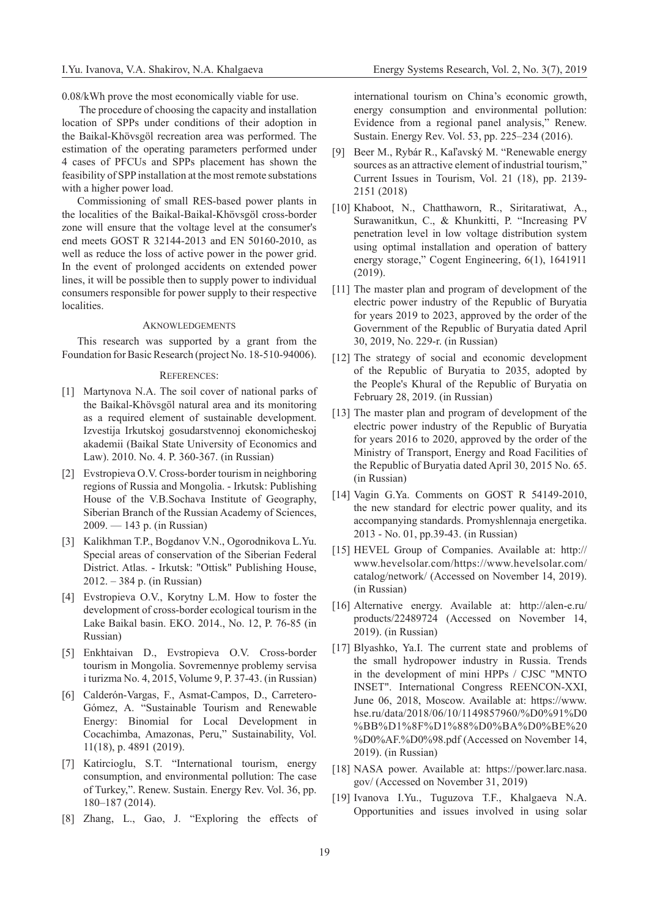0.08/kWh prove the most economically viable for use.

 The procedure of choosing the capacity and installation location of SPPs under conditions of their adoption in the Baikal-Khövsgöl recreation area was performed. The estimation of the operating parameters performed under 4 cases of PFCUs and SPPs placement has shown the feasibility of SPP installation at the most remote substations with a higher power load.

Commissioning of small RES-based power plants in the localities of the Baikal-Baikal-Khövsgöl cross-border zone will ensure that the voltage level at the consumer's end meets GOST R 32144-2013 and EN 50160-2010, as well as reduce the loss of active power in the power grid. In the event of prolonged accidents on extended power lines, it will be possible then to supply power to individual consumers responsible for power supply to their respective localities.

#### AKNOWI EDGEMENTS

This research was supported by a grant from the Foundation for Basic Research (project No. 18-510-94006).

#### References:

- [1] Martynova N.A. The soil cover of national parks of the Baikal-Khövsgöl natural area and its monitoring as a required element of sustainable development. Izvestija Irkutskoj gosudarstvennoj ekonomicheskoj akademii (Baikal State University of Economics and Law). 2010. No. 4. P. 360-367. (in Russian)
- [2] Evstropieva O.V. Cross-border tourism in neighboring regions of Russia and Mongolia. - Irkutsk: Publishing House of the V.B.Sochava Institute of Geography, Siberian Branch of the Russian Academy of Sciences, 2009. — 143 p. (in Russian)
- [3] Kalikhman T.P., Bogdanov V.N., Ogorodnikova L.Yu. Special areas of conservation of the Siberian Federal District. Atlas. - Irkutsk: "Ottisk" Publishing House, 2012. – 384 p. (in Russian)
- [4] Evstropieva O.V., Korytny L.M. How to foster the development of cross-border ecological tourism in the Lake Baikal basin. EKO. 2014., No. 12, P. 76-85 (in Russian)
- [5] Enkhtaivan D., Evstropieva O.V. Cross-border tourism in Mongolia. Sovremennye problemy servisa i turizma No. 4, 2015, Volume 9, P. 37-43. (in Russian)
- [6] Calderón-Vargas, F., Asmat-Campos, D., Carretero-Gómez, A. "Sustainable Tourism and Renewable Energy: Binomial for Local Development in Cocachimba, Amazonas, Peru," Sustainability, Vol. 11(18), p. 4891 (2019).
- [7] Katircioglu, S.T. "International tourism, energy consumption, and environmental pollution: The case of Turkey,". Renew. Sustain. Energy Rev. Vol. 36, pp. 180–187 (2014).
- [8] Zhang, L., Gao, J. "Exploring the effects of

international tourism on China's economic growth, energy consumption and environmental pollution: Evidence from a regional panel analysis," Renew. Sustain. Energy Rev. Vol. 53, pp. 225–234 (2016).

- [9] Beer M., Rybár R., Kaľavský M. "Renewable energy sources as an attractive element of industrial tourism," Current Issues in Tourism, Vol. 21 (18), pp. 2139- 2151 (2018)
- [10] Khaboot, N., Chatthaworn, R., Siritaratiwat, A., Surawanitkun, C., & Khunkitti, P. "Increasing PV penetration level in low voltage distribution system using optimal installation and operation of battery energy storage," Cogent Engineering, 6(1), 1641911 (2019).
- [11] The master plan and program of development of the electric power industry of the Republic of Buryatia for years 2019 to 2023, approved by the order of the Government of the Republic of Buryatia dated April 30, 2019, No. 229-r. (in Russian)
- [12] The strategy of social and economic development of the Republic of Buryatia to 2035, adopted by the People's Khural of the Republic of Buryatia on February 28, 2019. (in Russian)
- [13] The master plan and program of development of the electric power industry of the Republic of Buryatia for years 2016 to 2020, approved by the order of the Ministry of Transport, Energy and Road Facilities of the Republic of Buryatia dated April 30, 2015 No. 65. (in Russian)
- [14] Vagin G.Ya. Comments on GOST R 54149-2010, the new standard for electric power quality, and its accompanying standards. Promyshlennaja energetika. 2013 - No. 01, pp.39-43. (in Russian)
- [15] HEVEL Group of Companies. Available at: http:// www.hevelsolar.com/https://www.hevelsolar.com/ catalog/network/ (Accessed on November 14, 2019). (in Russian)
- [16] Alternative energy. Available at: http://alen-e.ru/ products/22489724 (Accessed on November 14, 2019). (in Russian)
- [17] Blyashko, Ya.I. The current state and problems of the small hydropower industry in Russia. Trends in the development of mini HPPs / CJSC "MNTO INSET". International Congress REENCON-XXI, June 06, 2018, Moscow. Available at: https://www. hse.ru/data/2018/06/10/1149857960/%D0%91%D0 %BB%D1%8F%D1%88%D0%BA%D0%BE%20 %D0%AF.%D0%98.pdf (Accessed on November 14, 2019). (in Russian)
- [18] NASA power. Available at: https://power.larc.nasa. gov/ (Accessed on November 31, 2019)
- [19] Ivanova I.Yu., Tuguzova T.F., Khalgaeva N.A. Opportunities and issues involved in using solar